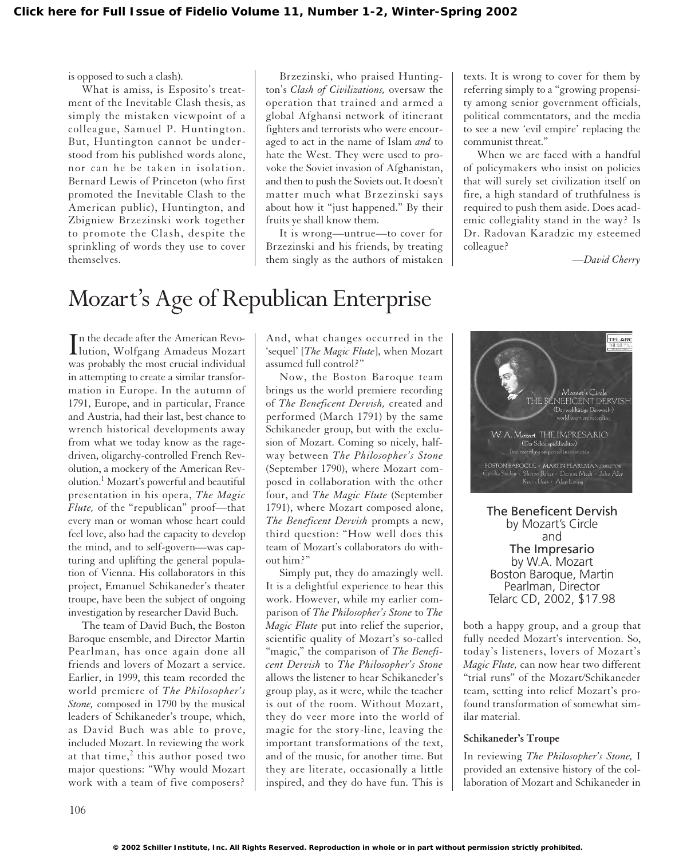is opposed to such a clash).

What is amiss, is Esposito's treatment of the Inevitable Clash thesis, as simply the mistaken viewpoint of a colleague, Samuel P. Huntington. But, Huntington cannot be understood from his published words alone, nor can he be taken in isolation. Bernard Lewis of Princeton (who first promoted the Inevitable Clash to the American public), Huntington, and Zbigniew Brzezinski work together to promote the Clash, despite the sprinkling of words they use to cover themselves.

Brzezinski, who praised Huntington's *Clash of Civilizations,* oversaw the operation that trained and armed a global Afghansi network of itinerant fighters and terrorists who were encouraged to act in the name of Islam *and* to hate the West. They were used to provoke the Soviet invasion of Afghanistan, and then to push the Soviets out. It doesn't matter much what Brzezinski says about how it "just happened." By their fruits ye shall know them.

It is wrong—untrue—to cover for Brzezinski and his friends, by treating them singly as the authors of mistaken texts. It is wrong to cover for them by referring simply to a "growing propensity among senior government officials, political commentators, and the media to see a new 'evil empire' replacing the communist threat."

When we are faced with a handful of policymakers who insist on policies that will surely set civilization itself on fire, a high standard of truthfulness is required to push them aside. Does academic collegiality stand in the way? Is Dr. Radovan Karadzic my esteemed colleague?

*—David Cherry*

# Mozart's Age of Republican Enterprise

In the decade after the American Revo-<br>
lution, Wolfgang Amadeus Mozart lution, Wolfgang Amadeus Mozart was probably the most crucial individual in attempting to create a similar transformation in Europe. In the autumn of 1791, Europe, and in particular, France and Austria, had their last, best chance to wrench historical developments away from what we today know as the ragedriven, oligarchy-controlled French Revolution, a mockery of the American Revolution.1 Mozart's powerful and beautiful presentation in his opera, *The Magic Flute,* of the "republican" proof—that every man or woman whose heart could feel love, also had the capacity to develop the mind, and to self-govern—was capturing and uplifting the general population of Vienna. His collaborators in this project, Emanuel Schikaneder's theater troupe, have been the subject of ongoing investigation by researcher David Buch.

The team of David Buch, the Boston Baroque ensemble, and Director Martin Pearlman, has once again done all friends and lovers of Mozart a service. Earlier, in 1999, this team recorded the world premiere of *The Philosopher's Stone,* composed in 1790 by the musical leaders of Schikaneder's troupe, which, as David Buch was able to prove, included Mozart. In reviewing the work at that time, $<sup>2</sup>$  this author posed two</sup> major questions: "Why would Mozart work with a team of five composers?

And, what changes occurred in the 'sequel' [*The Magic Flute*], when Mozart assumed full control?"

Now, the Boston Baroque team brings us the world premiere recording of *The Beneficent Dervish,* created and performed (March 1791) by the same Schikaneder group, but with the exclusion of Mozart. Coming so nicely, halfway between *The Philosopher's Stone* (September 1790), where Mozart composed in collaboration with the other four, and *The Magic Flute* (September 1791), where Mozart composed alone, *The Beneficent Dervish* prompts a new, third question: "How well does this team of Mozart's collaborators do without him?"

Simply put, they do amazingly well. It is a delightful experience to hear this work. However, while my earlier comparison of *The Philosopher's Stone* to *The Magic Flute* put into relief the superior, scientific quality of Mozart's so-called "magic," the comparison of *The Beneficent Dervish* to *The Philosopher's Stone* allows the listener to hear Schikaneder's group play, as it were, while the teacher is out of the room. Without Mozart, they do veer more into the world of magic for the story-line, leaving the important transformations of the text, and of the music, for another time. But they are literate, occasionally a little inspired, and they do have fun. This is



The Beneficent Dervish by Mozart's Circle and The Impresario by W.A. Mozart Boston Baroque, Martin Pearlman, Director Telarc CD, 2002, \$17.98

both a happy group, and a group that fully needed Mozart's intervention. So, today's listeners, lovers of Mozart's *Magic Flute,* can now hear two different "trial runs" of the Mozart/Schikaneder team, setting into relief Mozart's profound transformation of somewhat similar material.

## **Schikaneder's Troupe**

In reviewing *The Philosopher's Stone,* I provided an extensive history of the collaboration of Mozart and Schikaneder in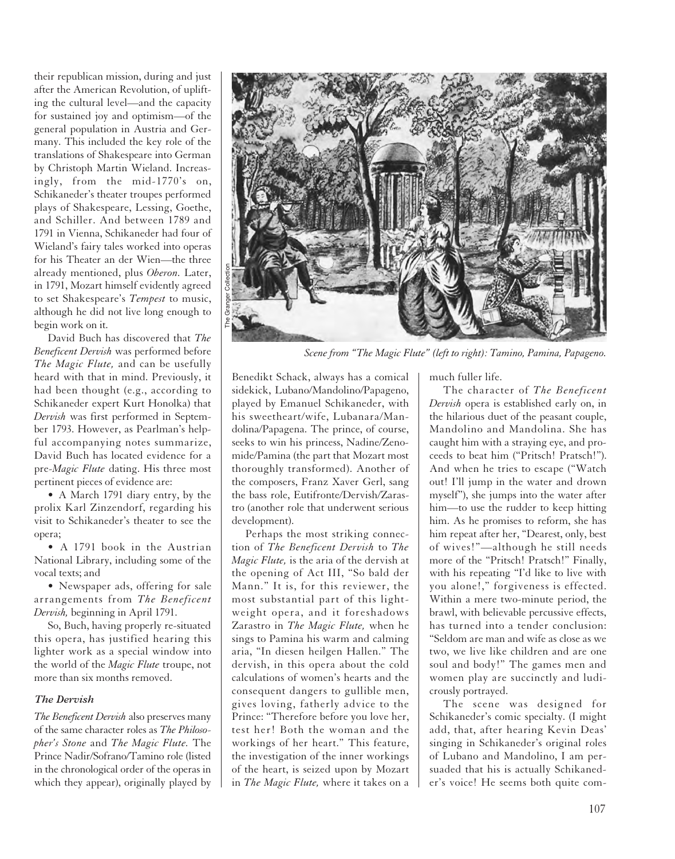their republican mission, during and just after the American Revolution, of uplifting the cultural level—and the capacity for sustained joy and optimism—of the general population in Austria and Germany. This included the key role of the translations of Shakespeare into German by Christoph Martin Wieland. Increasingly, from the mid-1770's on, Schikaneder's theater troupes performed plays of Shakespeare, Lessing, Goethe, and Schiller. And between 1789 and 1791 in Vienna, Schikaneder had four of Wieland's fairy tales worked into operas for his Theater an der Wien—the three already mentioned, plus *Oberon.* Later, in 1791, Mozart himself evidently agreed to set Shakespeare's *Tempest* to music, although he did not live long enough to begin work on it.

David Buch has discovered that *The Beneficent Dervish* was performed before *The Magic Flute,* and can be usefully heard with that in mind. Previously, it had been thought (e.g., according to Schikaneder expert Kurt Honolka) that *Dervish* was first performed in September 1793. However, as Pearlman's helpful accompanying notes summarize, David Buch has located evidence for a pre-*Magic Flute* dating. His three most pertinent pieces of evidence are:

• A March 1791 diary entry, by the prolix Karl Zinzendorf, regarding his visit to Schikaneder's theater to see the opera;

• A 1791 book in the Austrian National Library, including some of the vocal texts; and

• Newspaper ads, offering for sale arrangements from *The Beneficent Dervish,* beginning in April 1791.

So, Buch, having properly re-situated this opera, has justified hearing this lighter work as a special window into the world of the *Magic Flute* troupe, not more than six months removed.

#### *The Dervish*

*The Beneficent Dervish* also preserves many of the same character roles as *The Philosopher's Stone* and *The Magic Flute.* The Prince Nadir/Sofrano/Tamino role (listed in the chronological order of the operas in which they appear), originally played by



*Scene from "The Magic Flute" (left to right): Tamino, Pamina, Papageno.*

Benedikt Schack, always has a comical sidekick, Lubano/Mandolino/Papageno, played by Emanuel Schikaneder, with his sweetheart/wife, Lubanara/Mandolina/Papagena. The prince, of course, seeks to win his princess, Nadine/Zenomide/Pamina (the part that Mozart most thoroughly transformed). Another of the composers, Franz Xaver Gerl, sang the bass role, Eutifronte/Dervish/Zarastro (another role that underwent serious development).

Perhaps the most striking connection of *The Beneficent Dervish* to *The Magic Flute,* is the aria of the dervish at the opening of Act III, "So bald der Mann." It is, for this reviewer, the most substantial part of this lightweight opera, and it foreshadows Zarastro in *The Magic Flute,* when he sings to Pamina his warm and calming aria, "In diesen heilgen Hallen." The dervish, in this opera about the cold calculations of women's hearts and the consequent dangers to gullible men, gives loving, fatherly advice to the Prince: "Therefore before you love her, test her! Both the woman and the workings of her heart." This feature, the investigation of the inner workings of the heart, is seized upon by Mozart in *The Magic Flute,* where it takes on a

much fuller life.

The character of *The Beneficent Dervish* opera is established early on, in the hilarious duet of the peasant couple, Mandolino and Mandolina. She has caught him with a straying eye, and proceeds to beat him ("Pritsch! Pratsch!"). And when he tries to escape ("Watch out! I'll jump in the water and drown myself"), she jumps into the water after him—to use the rudder to keep hitting him. As he promises to reform, she has him repeat after her, "Dearest, only, best of wives!"—although he still needs more of the "Pritsch! Pratsch!" Finally, with his repeating "I'd like to live with you alone!," forgiveness is effected. Within a mere two-minute period, the brawl, with believable percussive effects, has turned into a tender conclusion: "Seldom are man and wife as close as we two, we live like children and are one soul and body!" The games men and women play are succinctly and ludicrously portrayed.

The scene was designed for Schikaneder's comic specialty. (I might add, that, after hearing Kevin Deas' singing in Schikaneder's original roles of Lubano and Mandolino, I am persuaded that his is actually Schikaneder's voice! He seems both quite com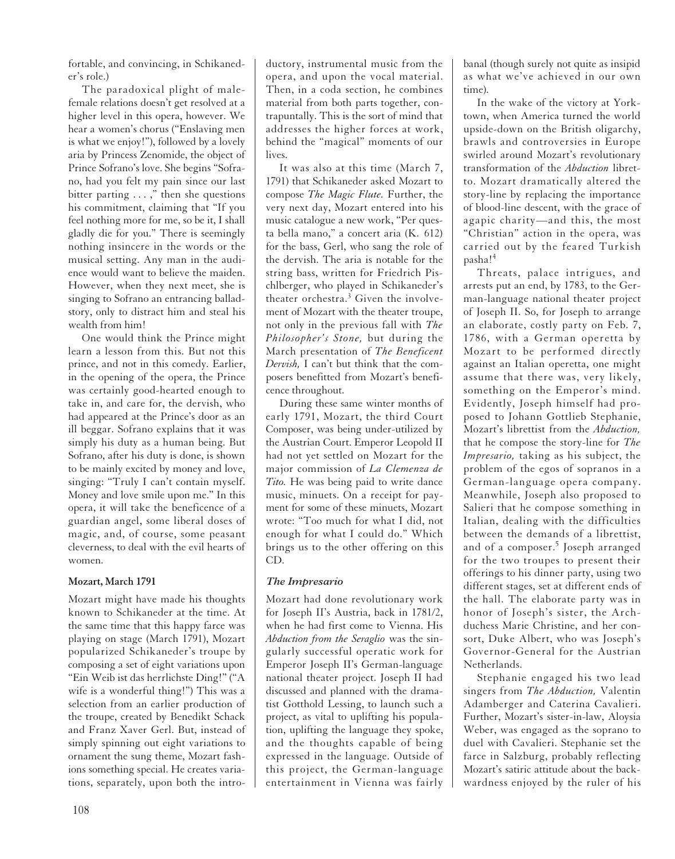fortable, and convincing, in Schikaneder's role.)

The paradoxical plight of malefemale relations doesn't get resolved at a higher level in this opera, however. We hear a women's chorus ("Enslaving men is what we enjoy!"), followed by a lovely aria by Princess Zenomide, the object of Prince Sofrano's love. She begins "Sofrano, had you felt my pain since our last bitter parting . . . ," then she questions his commitment, claiming that "If you feel nothing more for me, so be it, I shall gladly die for you." There is seemingly nothing insincere in the words or the musical setting. Any man in the audience would want to believe the maiden. However, when they next meet, she is singing to Sofrano an entrancing balladstory, only to distract him and steal his wealth from him!

One would think the Prince might learn a lesson from this. But not this prince, and not in this comedy. Earlier, in the opening of the opera, the Prince was certainly good-hearted enough to take in, and care for, the dervish, who had appeared at the Prince's door as an ill beggar. Sofrano explains that it was simply his duty as a human being. But Sofrano, after his duty is done, is shown to be mainly excited by money and love, singing: "Truly I can't contain myself. Money and love smile upon me." In this opera, it will take the beneficence of a guardian angel, some liberal doses of magic, and, of course, some peasant cleverness, to deal with the evil hearts of women.

# **Mozart, March 1791**

Mozart might have made his thoughts known to Schikaneder at the time. At the same time that this happy farce was playing on stage (March 1791), Mozart popularized Schikaneder's troupe by composing a set of eight variations upon "Ein Weib ist das herrlichste Ding!" ("A wife is a wonderful thing!") This was a selection from an earlier production of the troupe, created by Benedikt Schack and Franz Xaver Gerl. But, instead of simply spinning out eight variations to ornament the sung theme, Mozart fashions something special. He creates variations, separately, upon both the intro-

It was also at this time (March 7, 1791) that Schikaneder asked Mozart to compose *The Magic Flute.* Further, the very next day, Mozart entered into his music catalogue a new work, "Per questa bella mano," a concert aria (K. 612) for the bass, Gerl, who sang the role of the dervish. The aria is notable for the string bass, written for Friedrich Pischlberger, who played in Schikaneder's theater orchestra.<sup>3</sup> Given the involvement of Mozart with the theater troupe, not only in the previous fall with *The Philosopher's Stone,* but during the March presentation of *The Beneficent Dervish,* I can't but think that the composers benefitted from Mozart's beneficence throughout.

During these same winter months of early 1791, Mozart, the third Court Composer, was being under-utilized by the Austrian Court. Emperor Leopold II had not yet settled on Mozart for the major commission of *La Clemenza de Tito.* He was being paid to write dance music, minuets. On a receipt for payment for some of these minuets, Mozart wrote: "Too much for what I did, not enough for what I could do." Which brings us to the other offering on this CD.

# *The Impresario*

Mozart had done revolutionary work for Joseph II's Austria, back in 1781/2, when he had first come to Vienna. His *Abduction from the Seraglio* was the singularly successful operatic work for Emperor Joseph II's German-language national theater project. Joseph II had discussed and planned with the dramatist Gotthold Lessing, to launch such a project, as vital to uplifting his population, uplifting the language they spoke, and the thoughts capable of being expressed in the language. Outside of this project, the German-language entertainment in Vienna was fairly banal (though surely not quite as insipid as what we've achieved in our own time).

In the wake of the victory at Yorktown, when America turned the world upside-down on the British oligarchy, brawls and controversies in Europe swirled around Mozart's revolutionary transformation of the *Abduction* libretto. Mozart dramatically altered the story-line by replacing the importance of blood-line descent, with the grace of agapic charity—and this, the most "Christian" action in the opera, was carried out by the feared Turkish pasha!<sup>4</sup>

Threats, palace intrigues, and arrests put an end, by 1783, to the German-language national theater project of Joseph II. So, for Joseph to arrange an elaborate, costly party on Feb. 7, 1786, with a German operetta by Mozart to be performed directly against an Italian operetta, one might assume that there was, very likely, something on the Emperor's mind. Evidently, Joseph himself had proposed to Johann Gottlieb Stephanie, Mozart's librettist from the *Abduction,* that he compose the story-line for *The Impresario,* taking as his subject, the problem of the egos of sopranos in a German-language opera company. Meanwhile, Joseph also proposed to Salieri that he compose something in Italian, dealing with the difficulties between the demands of a librettist, and of a composer.<sup>5</sup> Joseph arranged for the two troupes to present their offerings to his dinner party, using two different stages, set at different ends of the hall. The elaborate party was in honor of Joseph's sister, the Archduchess Marie Christine, and her consort, Duke Albert, who was Joseph's Governor-General for the Austrian Netherlands.

Stephanie engaged his two lead singers from *The Abduction,* Valentin Adamberger and Caterina Cavalieri. Further, Mozart's sister-in-law, Aloysia Weber, was engaged as the soprano to duel with Cavalieri. Stephanie set the farce in Salzburg, probably reflecting Mozart's satiric attitude about the backwardness enjoyed by the ruler of his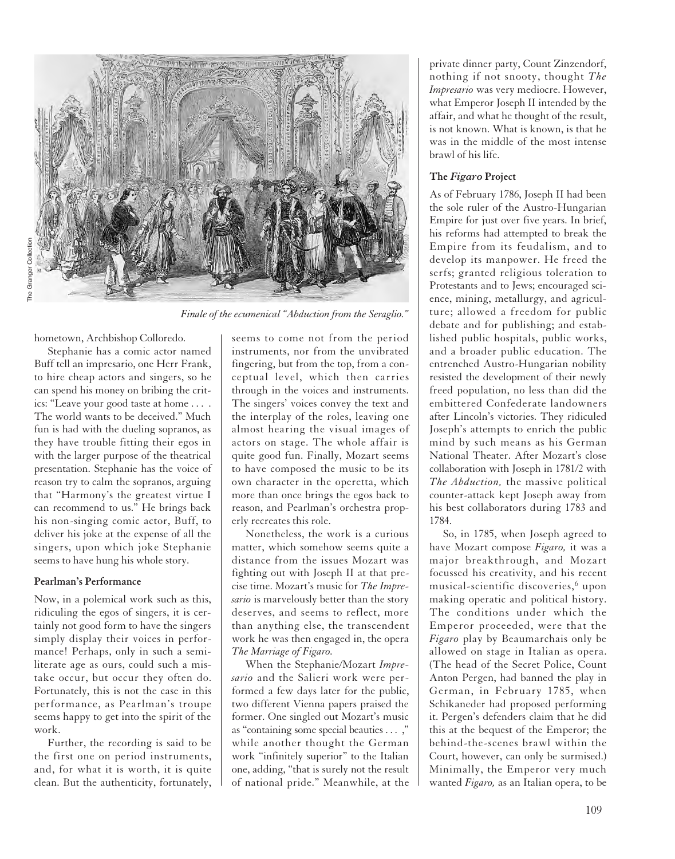

*Finale of the ecumenical "Abduction from the Seraglio."*

hometown, Archbishop Colloredo.

Stephanie has a comic actor named Buff tell an impresario, one Herr Frank, to hire cheap actors and singers, so he can spend his money on bribing the critics: "Leave your good taste at home . . . . The world wants to be deceived." Much fun is had with the dueling sopranos, as they have trouble fitting their egos in with the larger purpose of the theatrical presentation. Stephanie has the voice of reason try to calm the sopranos, arguing that "Harmony's the greatest virtue I can recommend to us." He brings back his non-singing comic actor, Buff, to deliver his joke at the expense of all the singers, upon which joke Stephanie seems to have hung his whole story.

## **Pearlman's Performance**

Now, in a polemical work such as this, ridiculing the egos of singers, it is certainly not good form to have the singers simply display their voices in performance! Perhaps, only in such a semiliterate age as ours, could such a mistake occur, but occur they often do. Fortunately, this is not the case in this performance, as Pearlman's troupe seems happy to get into the spirit of the work.

Further, the recording is said to be the first one on period instruments, and, for what it is worth, it is quite clean. But the authenticity, fortunately,

seems to come not from the period instruments, nor from the unvibrated fingering, but from the top, from a conceptual level, which then carries through in the voices and instruments. The singers' voices convey the text and the interplay of the roles, leaving one almost hearing the visual images of actors on stage. The whole affair is quite good fun. Finally, Mozart seems to have composed the music to be its own character in the operetta, which more than once brings the egos back to reason, and Pearlman's orchestra properly recreates this role.

Nonetheless, the work is a curious matter, which somehow seems quite a distance from the issues Mozart was fighting out with Joseph II at that precise time. Mozart's music for *The Impresario* is marvelously better than the story deserves, and seems to reflect, more than anything else, the transcendent work he was then engaged in, the opera *The Marriage of Figaro.*

When the Stephanie/Mozart *Impresario* and the Salieri work were performed a few days later for the public, two different Vienna papers praised the former. One singled out Mozart's music as "containing some special beauties . . . ," while another thought the German work "infinitely superior" to the Italian one, adding, "that is surely not the result of national pride." Meanwhile, at the

private dinner party, Count Zinzendorf, nothing if not snooty, thought *The Impresario* was very mediocre. However, what Emperor Joseph II intended by the affair, and what he thought of the result, is not known. What is known, is that he was in the middle of the most intense brawl of his life.

# **The** *Figaro* **Project**

As of February 1786, Joseph II had been the sole ruler of the Austro-Hungarian Empire for just over five years. In brief, his reforms had attempted to break the Empire from its feudalism, and to develop its manpower. He freed the serfs; granted religious toleration to Protestants and to Jews; encouraged science, mining, metallurgy, and agriculture; allowed a freedom for public debate and for publishing; and established public hospitals, public works, and a broader public education. The entrenched Austro-Hungarian nobility resisted the development of their newly freed population, no less than did the embittered Confederate landowners after Lincoln's victories. They ridiculed Joseph's attempts to enrich the public mind by such means as his German National Theater. After Mozart's close collaboration with Joseph in 1781/2 with *The Abduction,* the massive political counter-attack kept Joseph away from his best collaborators during 1783 and 1784.

So, in 1785, when Joseph agreed to have Mozart compose *Figaro,* it was a major breakthrough, and Mozart focussed his creativity, and his recent musical-scientific discoveries, $6$  upon making operatic and political history. The conditions under which the Emperor proceeded, were that the *Figaro* play by Beaumarchais only be allowed on stage in Italian as opera. (The head of the Secret Police, Count Anton Pergen, had banned the play in German, in February 1785, when Schikaneder had proposed performing it. Pergen's defenders claim that he did this at the bequest of the Emperor; the behind-the-scenes brawl within the Court, however, can only be surmised.) Minimally, the Emperor very much wanted *Figaro,* as an Italian opera, to be